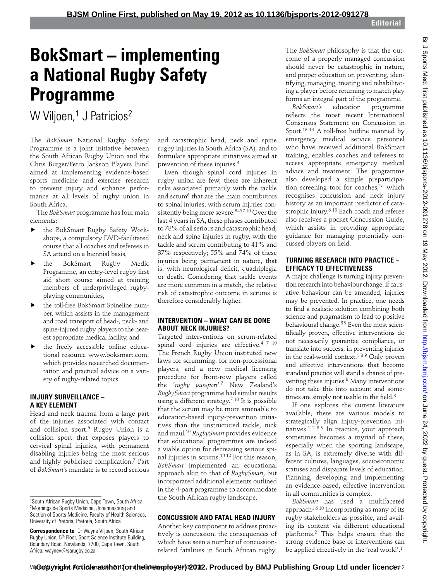# **BokSmart – implementing a National Rugby Safety Programme**

W Viljoen,<sup>1</sup> J Patricios<sup>2</sup>

The *BokSmart* National Rugby Safety Programme is a joint initiative between the South African Rugby Union and the Chris Burger/Petro Jackson Players Fund aimed at implementing evidence-based sports medicine and exercise research to prevent injury and enhance performance at all levels of rugby union in South Africa.

The *BokSmart* programme has four main elements:

- the BokSmart Rugby Safety Workshops, a compulsory DVD-facilitated course that all coaches and referees in SA attend on a biennial basis,
- the BokSmart Rugby Medic Programme, an entry-level rugby first aid short course aimed at training members of underprivileged rugbyplaying communities,
- the toll-free BokSmart Spineline number, which assists in the management and road transport of head-, neck- and spine-injured rugby players to the nearest appropriate medical facility, and
- the freely accessible online educational resource www.boksmart.com, which provides researched documentation and practical advice on a variety of rugby-related topics.

### **INJURY SURVEILLANCE – A KEY ELEMENT**

Head and neck trauma form a large part of the injuries associated with contact and collision sport.6 Rugby Union is a collision sport that exposes players to cervical spinal injuries, with permanent disabling injuries being the most serious and highly publicised complication.7 Part of *BokSmart's* mandate is to record serious and catastrophic head, neck and spine rugby injuries in South Africa (SA), and to formulate appropriate initiatives aimed at prevention of these injuries.4

Even though spinal cord injuries in rugby union are few, there are inherent risks associated primarily with the tackle and scrum<sup>6</sup> that are the main contributors to spinal injuries, with scrum injuries consistently being more severe.<sup>3–5710</sup> Over the last 4 years in SA, these phases contributed to 78% of all serious and catastrophic head, neck and spine injuries in rugby, with the tackle and scrum contributing to 41% and 37% respectively; 55% and 74% of these injuries being permanent in nature, that is, with neurological deficit, quadriplegia or death. Considering that tackle events are more common in a match, the relative risk of catastrophic outcome in scrums is therefore considerably higher.

## **INTERVENTION – WHAT CAN BE DONE ABOUT NECK INJURIES?**

Targeted interventions on scrum-related spinal cord injuries are effective.<sup>4 7 10</sup> The French Rugby Union instituted new laws for scrumming, for non-professional players, and a new medical licensing procedure for front-row players called the '*rugby passport*'.7 New Zealand's *RugbySmart* programme had similar results using a different strategy.<sup>7 10</sup> It is possible that the scrum may be more amenable to education-based injury-prevention initiatives than the unstructured tackle, ruck and maul*.* <sup>10</sup> *RugbySmart* provides evidence that educational programmes are indeed a viable option for decreasing serious spinal injuries in scrums.10 12 For this reason, *BokSmart* implemented an educational approach akin to that of *RugbySmart*, but incorporated additional elements outlined in the 4-part programme to accommodate the South African rugby landscape.

# **CONCUSSION AND FATAL HEAD INJURY**

Another key component to address proactively is concussion, the consequences of which have seen a number of concussionrelated fatalities in South African rugby. The *BokSmart* philosophy is that the outcome of a properly managed concussion should never be catastrophic in nature, and proper education on preventing, identifying, managing, treating and rehabilitating a player before returning to match play forms an integral part of the programme.<br>BokSmart's education programme

*BokSmart's* education programme reflects the most recent International Consensus Statement on Concussion in Sport.<sup>13 14</sup> A toll-free hotline manned by emergency medical service personnel who have received additional BokSmart training, enables coaches and referees to access appropriate emergency medical advice and treatment. The programme also developed a simple preparticipation screening tool for coaches,15 which recognises concussion and neck injury history as an important predictor of catastrophic injury.<sup>6 13</sup> Each coach and referee also receives a pocket Concussion Guide, which assists in providing appropriate guidance for managing potentially concussed players on field.

# **TURNING RESEARCH INTO PRACTICE – EFFICACY TO EFFECTIVENESS**

A major challenge is turning injury prevention research into behaviour change. If causative behaviour can be amended, injuries may be prevented. In practice, one needs to find a realistic solution combining both science and pragmatism to lead to positive behavioural change.<sup>89</sup> Even the most scientifically proven, effective interventions do not necessarily guarantee compliance, or translate into success, in preventing injuries in the real-world context.1 8 9 Only proven and effective interventions that become standard practice will stand a chance of preventing these injuries.<sup>8</sup> Many interventions do not take this into account and sometimes are simply not usable in the field.<sup>8</sup>

If one explores the current literature available, there are various models to strategically align injury-prevention initiatives.1 2 8 9 In practice, your approach sometimes becomes a myriad of these, especially when the sporting landscape, as in SA, is extremely diverse with different cultures, languages, socioeconomic statuses and disparate levels of education. Planning, developing and implementing an evidence-based, effective intervention in all communities is complex.

*BokSmart* has used a multifaceted approach<sup>1610</sup> incorporating as many of its rugby stakeholders as possible, and availing its content via different educational platforms.2 This helps ensure that the strong evidence base or interventions can be applied effectively in the 'real world'.1

<sup>1</sup> South African Rugby Union, Cape Town, South Africa 2 Morningside Sports Medicine, Johannesburg and Section of Sports Medicine, Faculty of Health Sciences, University of Pretoria, Pretoria, South Africa

**Correspondence to** Dr Wayne Viljoen, South African Rugby Union, 5th Floor, Sport Science Institute Building, Boundary Road, Newlands, 7700, Cape Town, South Africa; waynev@sarugby.co.za